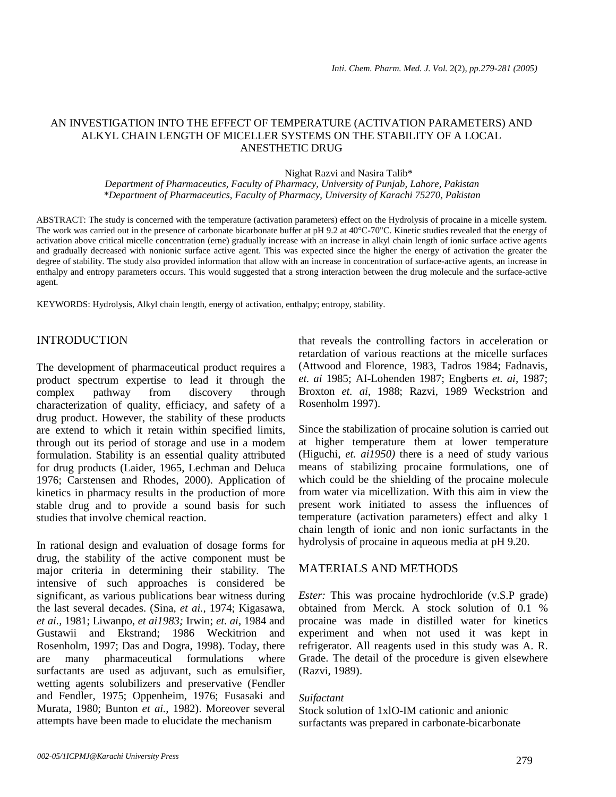## AN INVESTIGATION INTO THE EFFECT OF TEMPERATURE (ACTIVATION PARAMETERS) AND ALKYL CHAIN LENGTH OF MICELLER SYSTEMS ON THE STABILITY OF A LOCAL ANESTHETIC DRUG

Nighat Razvi and Nasira Talib\*

*Department of Pharmaceutics, Faculty of Pharmacy, University of Punjab, Lahore, Pakistan \*Department of Pharmaceutics, Faculty of Pharmacy, University of Karachi 75270, Pakistan*

ABSTRACT: The study is concerned with the temperature (activation parameters) effect on the Hydrolysis of procaine in a micelle system. The work was carried out in the presence of carbonate bicarbonate buffer at pH 9.2 at 40°C-70"C. Kinetic studies revealed that the energy of activation above critical micelle concentration (erne) gradually increase with an increase in alkyl chain length of ionic surface active agents and gradually decreased with nonionic surface active agent. This was expected since the higher the energy of activation the greater the degree of stability. The study also provided information that allow with an increase in concentration of surface-active agents, an increase in enthalpy and entropy parameters occurs. This would suggested that a strong interaction between the drug molecule and the surface-active agent.

KEYWORDS: Hydrolysis, Alkyl chain length, energy of activation, enthalpy; entropy, stability.

# INTRODUCTION

The development of pharmaceutical product requires a product spectrum expertise to lead it through the complex pathway from discovery through characterization of quality, efficiacy, and safety of a drug product. However, the stability of these products are extend to which it retain within specified limits, through out its period of storage and use in a modem formulation. Stability is an essential quality attributed for drug products (Laider, 1965, Lechman and Deluca 1976; Carstensen and Rhodes, 2000). Application of kinetics in pharmacy results in the production of more stable drug and to provide a sound basis for such studies that involve chemical reaction.

In rational design and evaluation of dosage forms for drug, the stability of the active component must be major criteria in determining their stability. The intensive of such approaches is considered be significant, as various publications bear witness during the last several decades. (Sina, *et ai.,* 1974; Kigasawa, *et ai.,* 1981; Liwanpo, *et ai1983;* Irwin; *et. ai,* 1984 and Gustawii and Ekstrand; 1986 Weckitrion and Rosenholm, 1997; Das and Dogra, 1998). Today, there are many pharmaceutical formulations where surfactants are used as adjuvant, such as emulsifier, wetting agents solubilizers and preservative (Fendler and Fendler, 1975; Oppenheim, 1976; Fusasaki and Murata, 1980; Bunton *et ai.,* 1982). Moreover several attempts have been made to elucidate the mechanism

that reveals the controlling factors in acceleration or retardation of various reactions at the micelle surfaces (Attwood and Florence, 1983, Tadros 1984; Fadnavis, *et. ai* 1985; AI-Lohenden 1987; Engberts *et. ai,* 1987; Broxton *et. ai,* 1988; Razvi, 1989 Weckstrion and Rosenholm 1997).

Since the stabilization of procaine solution is carried out at higher temperature them at lower temperature (Higuchi, *et. ai1950)* there is a need of study various means of stabilizing procaine formulations, one of which could be the shielding of the procaine molecule from water via micellization. With this aim in view the present work initiated to assess the influences of temperature (activation parameters) effect and alky 1 chain length of ionic and non ionic surfactants in the hydrolysis of procaine in aqueous media at pH 9.20.

# MATERIALS AND METHODS

*Ester:* This was procaine hydrochloride (v.S.P grade) obtained from Merck. A stock solution of 0.1 % procaine was made in distilled water for kinetics experiment and when not used it was kept in refrigerator. All reagents used in this study was A. R. Grade. The detail of the procedure is given elsewhere (Razvi, 1989).

#### *Suifactant*

Stock solution of 1xlO-IM cationic and anionic surfactants was prepared in carbonate-bicarbonate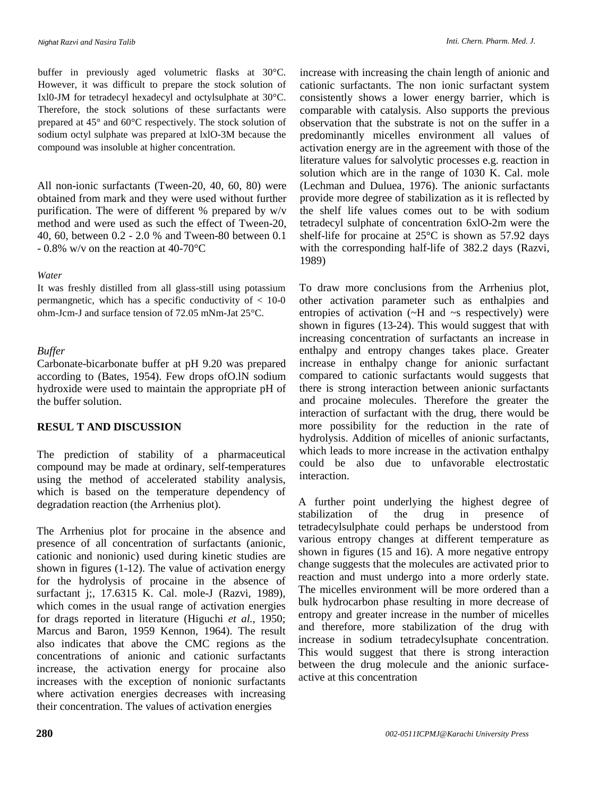buffer in previously aged volumetric flasks at 30°C. However, it was difficult to prepare the stock solution of Ixl0-JM for tetradecyl hexadecyl and octylsulphate at 30°C. Therefore, the stock solutions of these surfactants were prepared at 45° and 60°C respectively. The stock solution of sodium octyl sulphate was prepared at lxlO-3M because the compound was insoluble at higher concentration.

All non-ionic surfactants (Tween-20, 40, 60, 80) were obtained from mark and they were used without further purification. The were of different % prepared by w/v method and were used as such the effect of Tween-20, 40, 60, between 0.2 - 2.0 % and Tween-80 between 0.1 - 0.8% w/v on the reaction at 40-70°C

## *Water*

It was freshly distilled from all glass-still using potassium permangnetic, which has a specific conductivity of < 10-0 ohm-Jcm-J and surface tension of 72.05 mNm-Jat 25°C.

## *Buffer*

Carbonate-bicarbonate buffer at pH 9.20 was prepared according to (Bates, 1954). Few drops ofO.lN sodium hydroxide were used to maintain the appropriate pH of the buffer solution.

# **RESUL T AND DISCUSSION**

The prediction of stability of a pharmaceutical compound may be made at ordinary, self-temperatures using the method of accelerated stability analysis, which is based on the temperature dependency of degradation reaction (the Arrhenius plot).

The Arrhenius plot for procaine in the absence and presence of all concentration of surfactants (anionic, cationic and nonionic) used during kinetic studies are shown in figures (1-12). The value of activation energy for the hydrolysis of procaine in the absence of surfactant j;, 17.6315 K. Cal. mole-J (Razvi, 1989), which comes in the usual range of activation energies for drags reported in literature (Higuchi *et al.,* 1950; Marcus and Baron, 1959 Kennon, 1964). The result also indicates that above the CMC regions as the concentrations of anionic and cationic surfactants increase, the activation energy for procaine also increases with the exception of nonionic surfactants where activation energies decreases with increasing their concentration. The values of activation energies

increase with increasing the chain length of anionic and cationic surfactants. The non ionic surfactant system consistently shows a lower energy barrier, which is comparable with catalysis. Also supports the previous observation that the substrate is not on the suffer in a predominantly micelles environment all values of activation energy are in the agreement with those of the literature values for salvolytic processes e.g. reaction in solution which are in the range of 1030 K. Cal. mole (Lechman and Duluea, 1976). The anionic surfactants provide more degree of stabilization as it is reflected by the shelf life values comes out to be with sodium tetradecyl sulphate of concentration 6xlO-2m were the shelf-life for procaine at 25°C is shown as 57.92 days with the corresponding half-life of 382.2 days (Razvi, 1989)

To draw more conclusions from the Arrhenius plot, other activation parameter such as enthalpies and entropies of activation (~H and ~s respectively) were shown in figures (13-24). This would suggest that with increasing concentration of surfactants an increase in enthalpy and entropy changes takes place. Greater increase in enthalpy change for anionic surfactant compared to cationic surfactants would suggests that there is strong interaction between anionic surfactants and procaine molecules. Therefore the greater the interaction of surfactant with the drug, there would be more possibility for the reduction in the rate of hydrolysis. Addition of micelles of anionic surfactants, which leads to more increase in the activation enthalpy could be also due to unfavorable electrostatic interaction.

A further point underlying the highest degree of stabilization of the drug in presence of tetradecylsulphate could perhaps be understood from various entropy changes at different temperature as shown in figures (15 and 16). A more negative entropy change suggests that the molecules are activated prior to reaction and must undergo into a more orderly state. The micelles environment will be more ordered than a bulk hydrocarbon phase resulting in more decrease of entropy and greater increase in the number of micelles and therefore, more stabilization of the drug with increase in sodium tetradecylsuphate concentration. This would suggest that there is strong interaction between the drug molecule and the anionic surfaceactive at this concentration